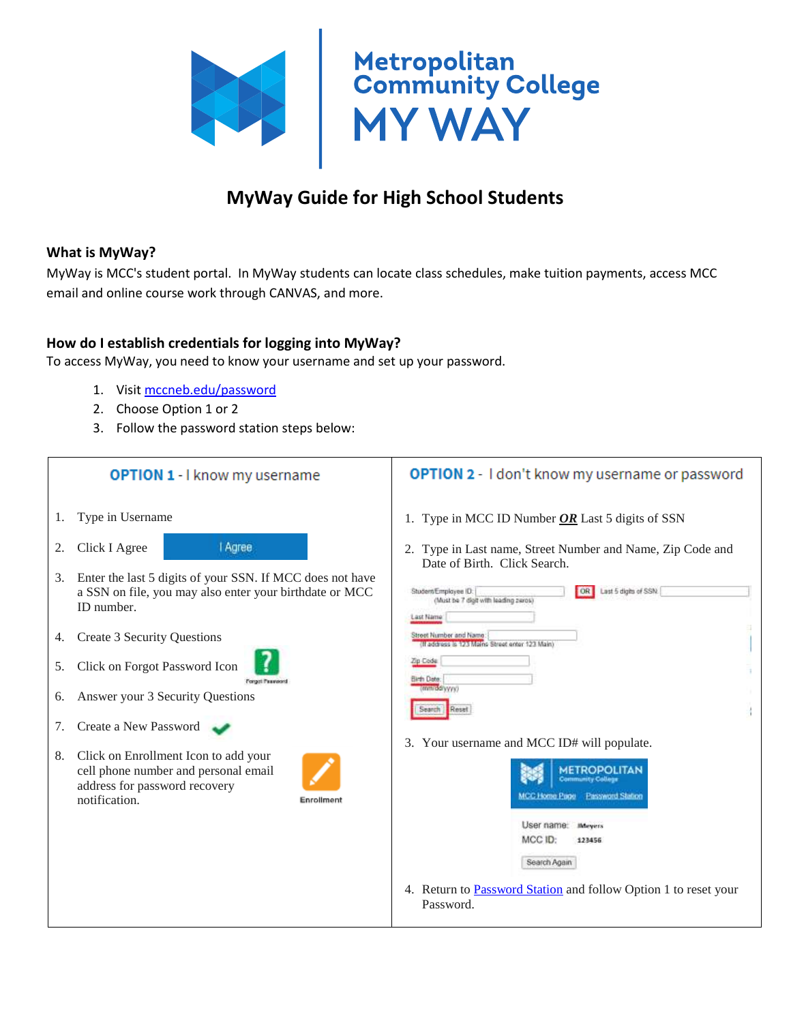

# **MyWay Guide for High School Students**

#### **What is MyWay?**

MyWay is MCC's student portal. In MyWay students can locate class schedules, make tuition payments, access MCC email and online course work through CANVAS, and more.

#### **How do I establish credentials for logging into MyWay?**

To access MyWay, you need to know your username and set up your password.

- 1. Visit [mccneb.edu/password](https://mccneb.edu/password)
- 2. Choose Option 1 or 2
- 3. Follow the password station steps below:

| <b>OPTION 1 - I know my username</b> |                                                |                                                                                                                                                                                                                                                                    |            | <b>OPTION 2</b> - I don't know my username or password                                                                                                                                                                                                                                                                            |
|--------------------------------------|------------------------------------------------|--------------------------------------------------------------------------------------------------------------------------------------------------------------------------------------------------------------------------------------------------------------------|------------|-----------------------------------------------------------------------------------------------------------------------------------------------------------------------------------------------------------------------------------------------------------------------------------------------------------------------------------|
| 1.                                   | Type in Username                               |                                                                                                                                                                                                                                                                    |            | 1. Type in MCC ID Number $OR$ Last 5 digits of SSN                                                                                                                                                                                                                                                                                |
| 2.<br>3.<br>4.<br>5.<br>6.           | Click I Agree<br>ID number.                    | <b>Agree</b><br>Enter the last 5 digits of your SSN. If MCC does not have<br>a SSN on file, you may also enter your birthdate or MCC<br><b>Create 3 Security Questions</b><br>Click on Forgot Password Icon<br>Forgot Fasswort<br>Answer your 3 Security Questions |            | 2. Type in Last name, Street Number and Name, Zip Code and<br>Date of Birth. Click Search.<br>Last 5 digits of SSN.<br>OR  <br>Student/Employee ID:<br>(Must be 7 digit with leading zeros)<br>Last Name<br>Street Number and Name:<br>(If address is 123 Mains Street enter 123 Main)<br>Zip Code<br>Elirth Date:<br>(mm/dd/www) |
| 7.                                   | Create a New Password                          |                                                                                                                                                                                                                                                                    |            | ł.<br>Reset                                                                                                                                                                                                                                                                                                                       |
| 8.                                   | address for password recovery<br>notification. | Click on Enrollment Icon to add your<br>cell phone number and personal email                                                                                                                                                                                       | Enrollment | 3. Your username and MCC ID# will populate.<br>Password Station<br><b>MCC Home Page</b><br>User name:<br><b>IMeyers</b><br>MCC ID:<br>123456<br>Search Again<br>4. Return to <b>Password Station</b> and follow Option 1 to reset your<br>Password.                                                                               |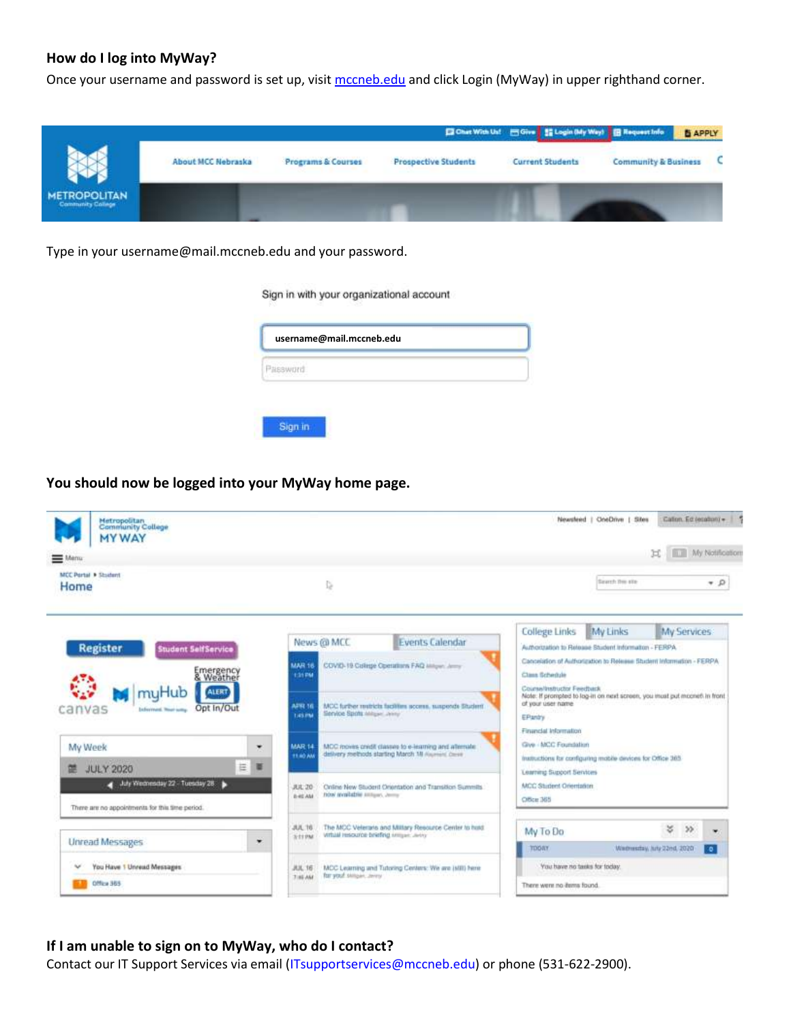## **How do I log into MyWay?**

Once your username and password is set up, visit [mccneb.edu](https://www.mccneb.edu/) and click Login (MyWay) in upper righthand corner.



Type in your username@mail.mccneb.edu and your password.

Sign in with your organizational account

| username@mail.mccneb.edu |  |
|--------------------------|--|
|                          |  |
|                          |  |

**You should now be logged into your MyWay home page.**



#### **If I am unable to sign on to MyWay, who do I contact?**

Contact our IT Support Services via email (ITsupportservices@mccneb.edu) or phone (531-622-2900).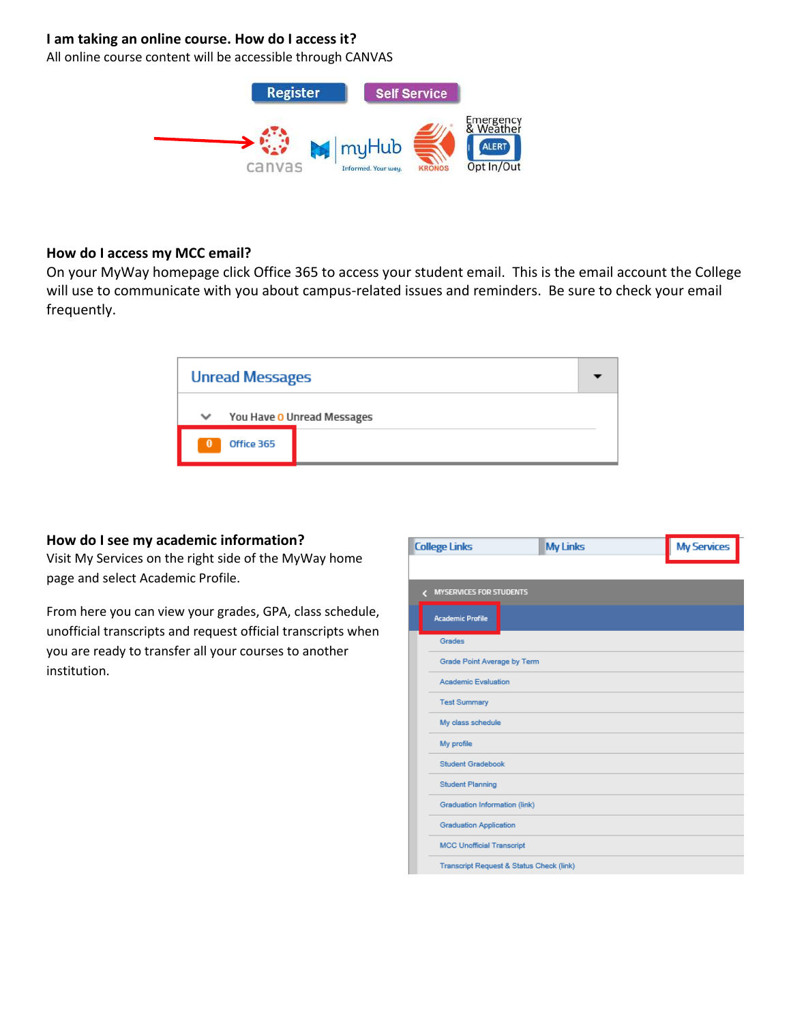### **I am taking an online course. How do I access it?**

All online course content will be accessible through CANVAS



#### **How do I access my MCC email?**

On your MyWay homepage click Office 365 to access your student email. This is the email account the College will use to communicate with you about campus-related issues and reminders. Be sure to check your email frequently.

|                                            | <b>Unread Messages</b> |  |  |  |  |  |
|--------------------------------------------|------------------------|--|--|--|--|--|
| You Have O Unread Messages<br>$\checkmark$ |                        |  |  |  |  |  |
| $\bf{0}$                                   | Office 365             |  |  |  |  |  |

#### **How do I see my academic information?**

Visit My Services on the right side of the MyWay home page and select Academic Profile.

From here you can view your grades, GPA, class schedule, unofficial transcripts and request official transcripts when you are ready to transfer all your courses to another institution.

| <b>College Links</b> |                                          | <b>My Links</b> | <b>My Services</b> |
|----------------------|------------------------------------------|-----------------|--------------------|
|                      |                                          |                 |                    |
|                      | <b>MYSERVICES FOR STUDENTS</b>           |                 |                    |
|                      | <b>Academic Profile</b>                  |                 |                    |
|                      | Grades                                   |                 |                    |
|                      | Grade Point Average by Term              |                 |                    |
|                      | <b>Academic Evaluation</b>               |                 |                    |
|                      | <b>Test Summary</b>                      |                 |                    |
|                      | My class schedule                        |                 |                    |
|                      | My profile                               |                 |                    |
|                      | <b>Student Gradebook</b>                 |                 |                    |
|                      | <b>Student Planning</b>                  |                 |                    |
|                      | Graduation Information (link)            |                 |                    |
|                      | <b>Graduation Application</b>            |                 |                    |
|                      | <b>MCC Unofficial Transcript</b>         |                 |                    |
|                      | Transcript Request & Status Check (link) |                 |                    |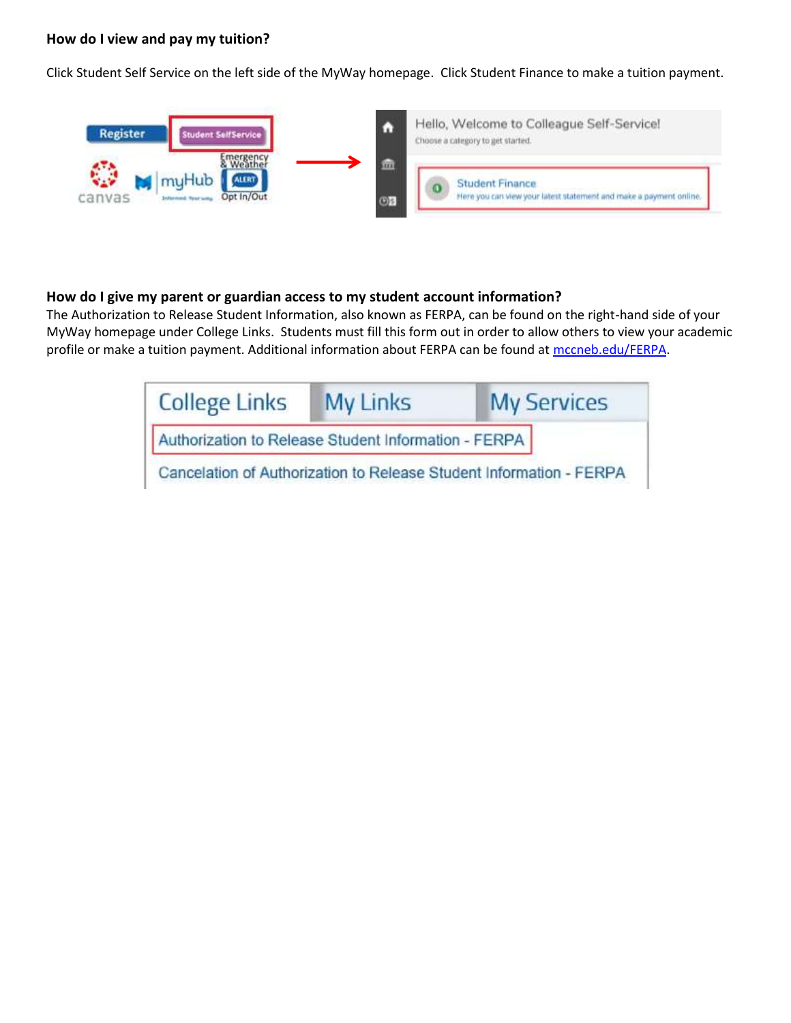#### **How do I view and pay my tuition?**

Click Student Self Service on the left side of the MyWay homepage. Click Student Finance to make a tuition payment.



#### **How do I give my parent or guardian access to my student account information?**

The Authorization to Release Student Information, also known as FERPA, can be found on the right-hand side of your MyWay homepage under College Links. Students must fill this form out in order to allow others to view your academic profile or make a tuition payment. Additional information about FERPA can be found at [mccneb.edu/FERPA.](https://mccneb.edu/ferpa)

| <b>College Links</b>                                                | <b>My Links</b> | <b>My Services</b> |  |  |  |
|---------------------------------------------------------------------|-----------------|--------------------|--|--|--|
| Authorization to Release Student Information - FERPA                |                 |                    |  |  |  |
| Cancelation of Authorization to Release Student Information - FERPA |                 |                    |  |  |  |